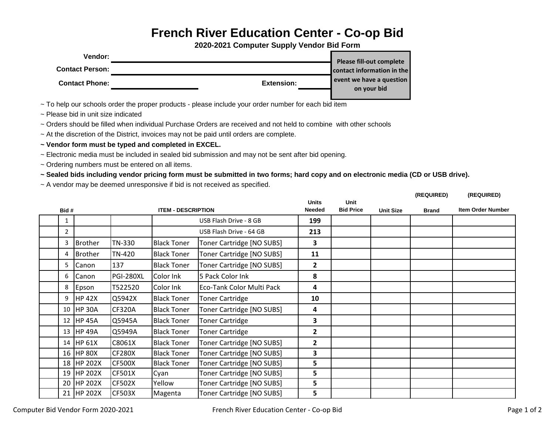## **French River Education Center - Co-op Bid**

**2020-2021 Computer Supply Vendor Bid Form**

| Vendor:                |            | <b>Please fill-out complete</b>         |
|------------------------|------------|-----------------------------------------|
| <b>Contact Person:</b> |            | contact information in the              |
| <b>Contact Phone:</b>  | Extension: | event we have a question<br>on your bid |

~ To help our schools order the proper products - please include your order number for each bid item

~ Please bid in unit size indicated

~ Orders should be filled when individual Purchase Orders are received and not held to combine with other schools

~ At the discretion of the District, invoices may not be paid until orders are complete.

**~ Vendor form must be typed and completed in EXCEL.**

~ Electronic media must be included in sealed bid submission and may not be sent after bid opening.

~ Ordering numbers must be entered on all items.

**~ Sealed bids including vendor pricing form must be submitted in two forms; hard copy and on electronic media (CD or USB drive).** 

~ A vendor may be deemed unresponsive if bid is not received as specified.

|      |                |                           |               |                               |                                 |                  |              |                          | (REQUIRED) | (REQUIRED) |
|------|----------------|---------------------------|---------------|-------------------------------|---------------------------------|------------------|--------------|--------------------------|------------|------------|
| Bid# |                | <b>ITEM - DESCRIPTION</b> |               | <b>Units</b><br><b>Needed</b> | <b>Unit</b><br><b>Bid Price</b> | <b>Unit Size</b> | <b>Brand</b> | <b>Item Order Number</b> |            |            |
|      | $\mathbf{1}$   |                           |               |                               | USB Flash Drive - 8 GB          | 199              |              |                          |            |            |
|      | $\overline{2}$ |                           |               |                               | USB Flash Drive - 64 GB         | 213              |              |                          |            |            |
|      | 3              | <b>Brother</b>            | TN-330        | <b>Black Toner</b>            | Toner Cartridge [NO SUBS]       | 3                |              |                          |            |            |
|      | 4              | Brother                   | <b>TN-420</b> | <b>Black Toner</b>            | Toner Cartridge [NO SUBS]       | 11               |              |                          |            |            |
|      | 5              | Canon                     | 137           | <b>Black Toner</b>            | Toner Cartridge [NO SUBS]       | $\overline{2}$   |              |                          |            |            |
|      | 6              | Canon                     | PGI-280XL     | Color Ink                     | 5 Pack Color Ink                | 8                |              |                          |            |            |
|      | 8              | Epson                     | T522520       | Color Ink                     | Eco-Tank Color Multi Pack       | 4                |              |                          |            |            |
|      | 9              | <b>HP 42X</b>             | Q5942X        | <b>Black Toner</b>            | <b>Toner Cartridge</b>          | 10               |              |                          |            |            |
|      | 10             | <b>HP 30A</b>             | CF320A        | <b>Black Toner</b>            | Toner Cartridge [NO SUBS]       | 4                |              |                          |            |            |
|      | 12             | <b>HP 45A</b>             | Q5945A        | <b>Black Toner</b>            | <b>Toner Cartridge</b>          | 3                |              |                          |            |            |
|      | 13             | <b>HP 49A</b>             | Q5949A        | <b>Black Toner</b>            | <b>Toner Cartridge</b>          | 2                |              |                          |            |            |
|      | 14             | <b>HP 61X</b>             | C8061X        | <b>Black Toner</b>            | Toner Cartridge [NO SUBS]       | 2                |              |                          |            |            |
|      |                | 16 HP 80X                 | <b>CF280X</b> | <b>Black Toner</b>            | Toner Cartridge [NO SUBS]       | 3                |              |                          |            |            |
|      | 18             | <b>HP 202X</b>            | <b>CF500X</b> | <b>Black Toner</b>            | Toner Cartridge [NO SUBS]       | 5                |              |                          |            |            |
|      | 19             | <b>HP 202X</b>            | <b>CF501X</b> | Cyan                          | Toner Cartridge [NO SUBS]       | 5                |              |                          |            |            |
|      |                | 20 HP 202X                | <b>CF502X</b> | Yellow                        | Toner Cartridge [NO SUBS]       | 5                |              |                          |            |            |
|      |                | 21 HP 202X                | <b>CF503X</b> | Magenta                       | Toner Cartridge [NO SUBS]       | 5                |              |                          |            |            |